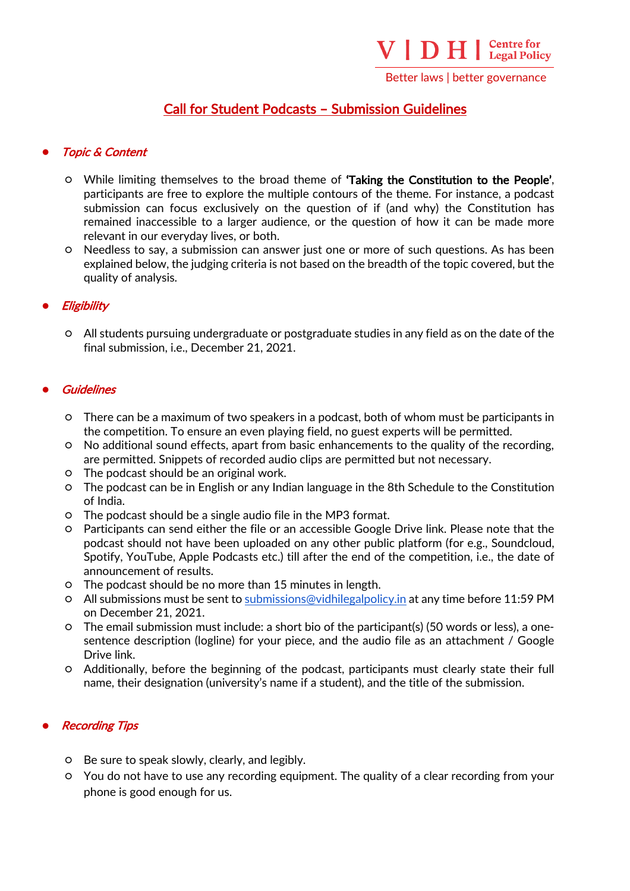Better laws | better governance

# Call for Student Podcasts – Submission Guidelines

## **Topic & Content**

- While limiting themselves to the broad theme of 'Taking the Constitution to the People', participants are free to explore the multiple contours of the theme. For instance, a podcast submission can focus exclusively on the question of if (and why) the Constitution has remained inaccessible to a larger audience, or the question of how it can be made more relevant in our everyday lives, or both.
- Needless to say, a submission can answer just one or more of such questions. As has been explained below, the judging criteria is not based on the breadth of the topic covered, but the quality of analysis.

# **Eligibility**

○ All students pursuing undergraduate or postgraduate studies in any field as on the date of the final submission, i.e., December 21, 2021.

## **Guidelines**

- There can be a maximum of two speakers in a podcast, both of whom must be participants in the competition. To ensure an even playing field, no guest experts will be permitted.
- No additional sound effects, apart from basic enhancements to the quality of the recording, are permitted. Snippets of recorded audio clips are permitted but not necessary.
- The podcast should be an original work.
- The podcast can be in English or any Indian language in the 8th Schedule to the Constitution of India.
- The podcast should be a single audio file in the MP3 format.
- Participants can send either the file or an accessible Google Drive link. Please note that the podcast should not have been uploaded on any other public platform (for e.g., Soundcloud, Spotify, YouTube, Apple Podcasts etc.) till after the end of the competition, i.e., the date of announcement of results.
- The podcast should be no more than 15 minutes in length.
- All submissions must be sent to submissions@vidhilegalpolicy.in at any time before 11:59 PM on December 21, 2021.
- The email submission must include: a short bio of the participant(s) (50 words or less), a onesentence description (logline) for your piece, and the audio file as an attachment / Google Drive link.
- Additionally, before the beginning of the podcast, participants must clearly state their full name, their designation (university's name if a student), and the title of the submission.

#### **Recording Tips**

- Be sure to speak slowly, clearly, and legibly.
- You do not have to use any recording equipment. The quality of a clear recording from your phone is good enough for us.